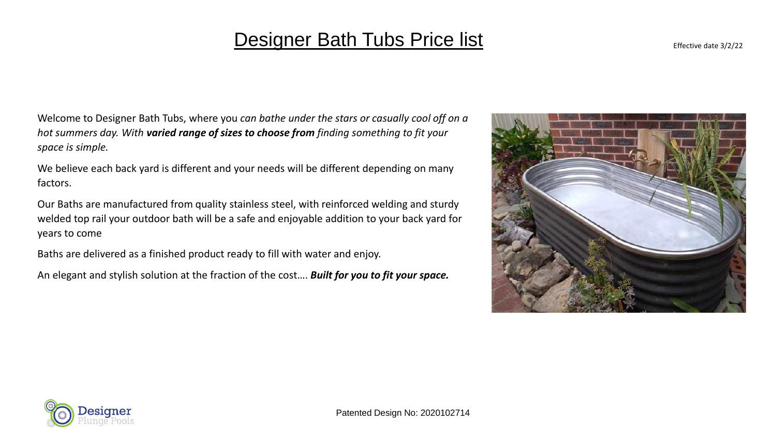### Designer Bath Tubs Price list Effective date 3/2/22

Welcome to Designer Bath Tubs, where you *can bathe under the stars or casually cool off on a hot summers day. With varied range of sizes to choose from finding something to fit your space is simple.*

We believe each back yard is different and your needs will be different depending on many factors.

Our Baths are manufactured from quality stainless steel, with reinforced welding and sturdy welded top rail your outdoor bath will be a safe and enjoyable addition to your back yard for years to come

Baths are delivered as a finished product ready to fill with water and enjoy.

An elegant and stylish solution at the fraction of the cost…. *Built for you to fit your space.*



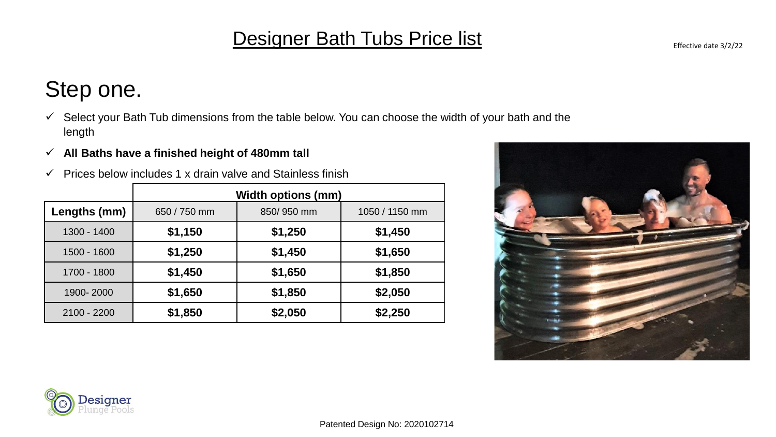## **Designer Bath Tubs Price list** Effective date 3/2/22

- $\checkmark$  Select your Bath Tub dimensions from the table below. You can choose the width of your bath and the length
- ✓ **All Baths have a finished height of 480mm tall**
- $\checkmark$  Prices below includes 1 x drain valve and Stainless finish

|               | <b>Width options (mm)</b> |            |                |
|---------------|---------------------------|------------|----------------|
| Lengths (mm)  | 650 / 750 mm              | 850/950 mm | 1050 / 1150 mm |
| 1300 - 1400   | \$1,150                   | \$1,250    | \$1,450        |
| 1500 - 1600   | \$1,250                   | \$1,450    | \$1,650        |
| 1700 - 1800   | \$1,450                   | \$1,650    | \$1,850        |
| 1900-2000     | \$1,650                   | \$1,850    | \$2,050        |
| $2100 - 2200$ | \$1,850                   | \$2,050    | \$2,250        |



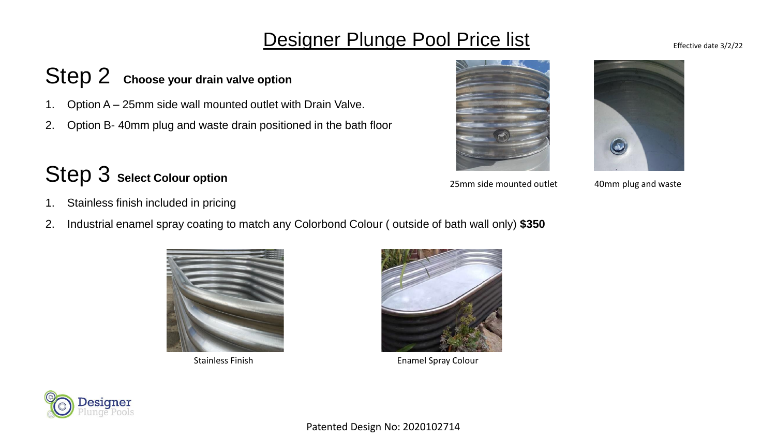## **Designer Plunge Pool Price list** Effective date 3/2/22

## Step 2 **Choose your drain valve option**

- 1. Option A 25mm side wall mounted outlet with Drain Valve.
- 2. Option B- 40mm plug and waste drain positioned in the bath floor

# Step 3 **Select Colour option**

25mm side mounted outlet 40mm plug and waste

- 1. Stainless finish included in pricing
- 2. Industrial enamel spray coating to match any Colorbond Colour ( outside of bath wall only) **\$350**